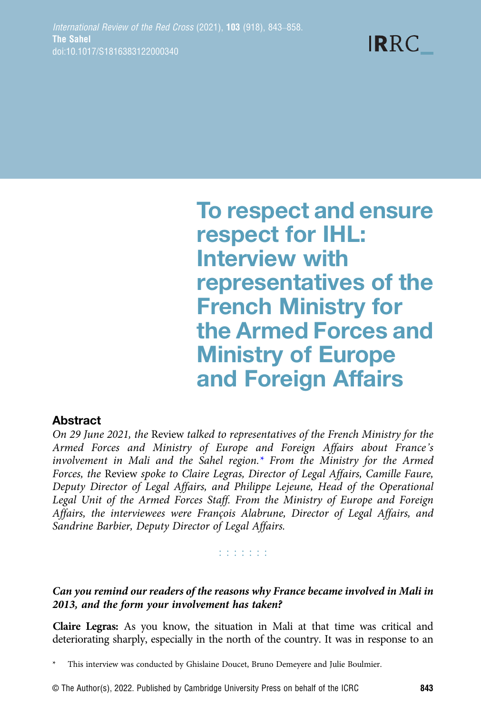To respect and ensure respect for IHL: Interview with representatives of the French Ministry for the Armed Forces and Ministry of Europe and Foreign Affairs

**IRRC** 

# **Abstract**

On 29 June 2021, the Review talked to representatives of the French Ministry for the Armed Forces and Ministry of Europe and Foreign Affairs about France's involvement in Mali and the Sahel region.\* From the Ministry for the Armed Forces, the Review spoke to Claire Legras, Director of Legal Affairs, Camille Faure, Deputy Director of Legal Affairs, and Philippe Lejeune, Head of the Operational Legal Unit of the Armed Forces Staff. From the Ministry of Europe and Foreign Affairs, the interviewees were François Alabrune, Director of Legal Affairs, and Sandrine Barbier, Deputy Director of Legal Affairs.

#### **ESSESS**

Can you remind our readers of the reasons why France became involved in Mali in 2013, and the form your involvement has taken?

Claire Legras: As you know, the situation in Mali at that time was critical and deteriorating sharply, especially in the north of the country. It was in response to an

This interview was conducted by Ghislaine Doucet, Bruno Demeyere and Julie Boulmier.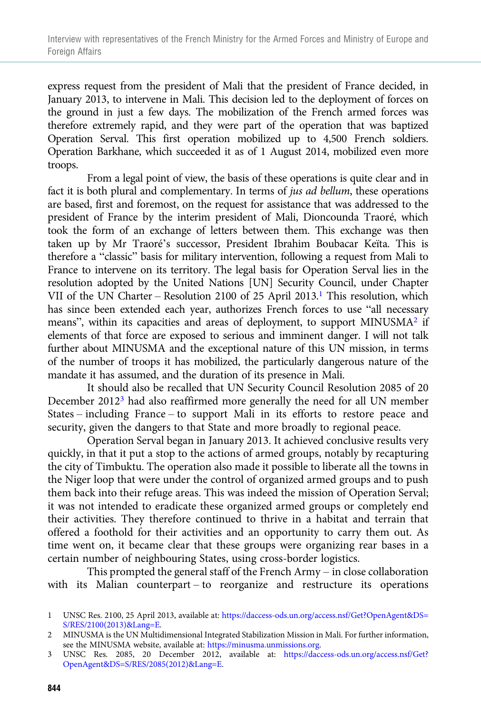express request from the president of Mali that the president of France decided, in January 2013, to intervene in Mali. This decision led to the deployment of forces on the ground in just a few days. The mobilization of the French armed forces was therefore extremely rapid, and they were part of the operation that was baptized Operation Serval. This first operation mobilized up to 4,500 French soldiers. Operation Barkhane, which succeeded it as of 1 August 2014, mobilized even more troops.

From a legal point of view, the basis of these operations is quite clear and in fact it is both plural and complementary. In terms of jus ad bellum, these operations are based, first and foremost, on the request for assistance that was addressed to the president of France by the interim president of Mali, Dioncounda Traoré, which took the form of an exchange of letters between them. This exchange was then taken up by Mr Traoré's successor, President Ibrahim Boubacar Keïta. This is therefore a "classic" basis for military intervention, following a request from Mali to France to intervene on its territory. The legal basis for Operation Serval lies in the resolution adopted by the United Nations [UN] Security Council, under Chapter VII of the UN Charter – Resolution 2100 of 25 April 2013.<sup>1</sup> This resolution, which has since been extended each year, authorizes French forces to use "all necessary means", within its capacities and areas of deployment, to support MINUSMA2 if elements of that force are exposed to serious and imminent danger. I will not talk further about MINUSMA and the exceptional nature of this UN mission, in terms of the number of troops it has mobilized, the particularly dangerous nature of the mandate it has assumed, and the duration of its presence in Mali.

It should also be recalled that UN Security Council Resolution 2085 of 20 December 20123 had also reaffirmed more generally the need for all UN member States – including France – to support Mali in its efforts to restore peace and security, given the dangers to that State and more broadly to regional peace.

Operation Serval began in January 2013. It achieved conclusive results very quickly, in that it put a stop to the actions of armed groups, notably by recapturing the city of Timbuktu. The operation also made it possible to liberate all the towns in the Niger loop that were under the control of organized armed groups and to push them back into their refuge areas. This was indeed the mission of Operation Serval; it was not intended to eradicate these organized armed groups or completely end their activities. They therefore continued to thrive in a habitat and terrain that offered a foothold for their activities and an opportunity to carry them out. As time went on, it became clear that these groups were organizing rear bases in a certain number of neighbouring States, using cross-border logistics.

This prompted the general staff of the French Army – in close collaboration with its Malian counterpart – to reorganize and restructure its operations

<sup>1</sup> UNSC Res. 2100, 25 April 2013, available at: [https://daccess-ods.un.org/access.nsf/Get?OpenAgent&DS=](https://daccess-ods.un.org/access.nsf/Get?OpenAgent&DS=S/RES/2100(2013)&Lang=E) [S/RES/2100\(2013\)&Lang=E.](https://daccess-ods.un.org/access.nsf/Get?OpenAgent&DS=S/RES/2100(2013)&Lang=E)

<sup>2</sup> MINUSMA is the UN Multidimensional Integrated Stabilization Mission in Mali. For further information, see the MINUSMA website, available at: [https://minusma.unmissions.org.](https://minusma.unmissions.org)

<sup>3</sup> UNSC Res. 2085, 20 December 2012, available at: [https://daccess-ods.un.org/access.nsf/Get?](https://daccess-ods.un.org/access.nsf/Get?OpenAgent&DS=S/RES/2085(2012)&Lang=E) [OpenAgent&DS=S/RES/2085\(2012\)&Lang=E.](https://daccess-ods.un.org/access.nsf/Get?OpenAgent&DS=S/RES/2085(2012)&Lang=E)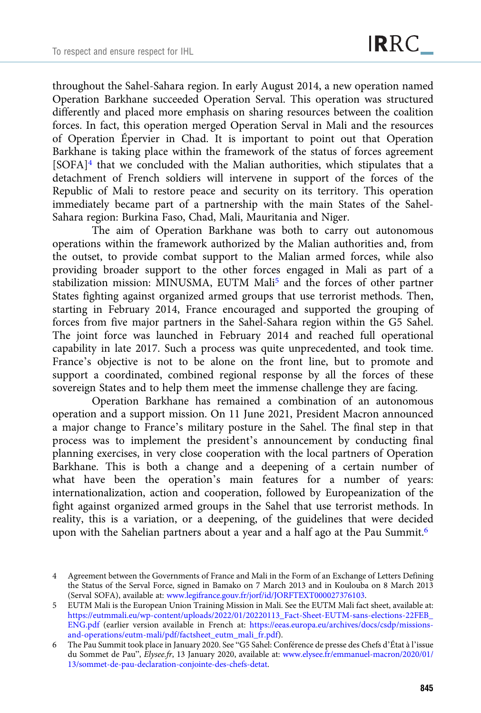throughout the Sahel-Sahara region. In early August 2014, a new operation named Operation Barkhane succeeded Operation Serval. This operation was structured differently and placed more emphasis on sharing resources between the coalition forces. In fact, this operation merged Operation Serval in Mali and the resources of Operation Épervier in Chad. It is important to point out that Operation Barkhane is taking place within the framework of the status of forces agreement [SOFA]4 that we concluded with the Malian authorities, which stipulates that a detachment of French soldiers will intervene in support of the forces of the Republic of Mali to restore peace and security on its territory. This operation immediately became part of a partnership with the main States of the Sahel-Sahara region: Burkina Faso, Chad, Mali, Mauritania and Niger.

The aim of Operation Barkhane was both to carry out autonomous operations within the framework authorized by the Malian authorities and, from the outset, to provide combat support to the Malian armed forces, while also providing broader support to the other forces engaged in Mali as part of a stabilization mission: MINUSMA, EUTM Mali<sup>5</sup> and the forces of other partner States fighting against organized armed groups that use terrorist methods. Then, starting in February 2014, France encouraged and supported the grouping of forces from five major partners in the Sahel-Sahara region within the G5 Sahel. The joint force was launched in February 2014 and reached full operational capability in late 2017. Such a process was quite unprecedented, and took time. France's objective is not to be alone on the front line, but to promote and support a coordinated, combined regional response by all the forces of these sovereign States and to help them meet the immense challenge they are facing.

Operation Barkhane has remained a combination of an autonomous operation and a support mission. On 11 June 2021, President Macron announced a major change to France's military posture in the Sahel. The final step in that process was to implement the president's announcement by conducting final planning exercises, in very close cooperation with the local partners of Operation Barkhane. This is both a change and a deepening of a certain number of what have been the operation's main features for a number of years: internationalization, action and cooperation, followed by Europeanization of the fight against organized armed groups in the Sahel that use terrorist methods. In reality, this is a variation, or a deepening, of the guidelines that were decided upon with the Sahelian partners about a year and a half ago at the Pau Summit.6

<sup>4</sup> Agreement between the Governments of France and Mali in the Form of an Exchange of Letters Defining the Status of the Serval Force, signed in Bamako on 7 March 2013 and in Koulouba on 8 March 2013 (Serval SOFA), available at: [www.legifrance.gouv.fr/jorf/id/JORFTEXT000027376103](https://www.legifrance.gouv.fr/jorf/id/JORFTEXT000027376103).

<sup>5</sup> EUTM Mali is the European Union Training Mission in Mali. See the EUTM Mali fact sheet, available at: [https://eutmmali.eu/wp-content/uploads/2022/01/20220113\\_Fact-Sheet-EUTM-sans-elections-22FEB\\_](https://eutmmali.eu/wp-content/uploads/2022/01/20220113_Fact-Sheet-EUTM-sans-elections-22FEB_ENG.pdf) [ENG.pdf](https://eutmmali.eu/wp-content/uploads/2022/01/20220113_Fact-Sheet-EUTM-sans-elections-22FEB_ENG.pdf) (earlier version available in French at: [https://eeas.europa.eu/archives/docs/csdp/missions](https://eeas.europa.eu/archives/docs/csdp/missions-and-operations/eutm-mali/pdf/factsheet_eutm_mali_fr.pdf)[and-operations/eutm-mali/pdf/factsheet\\_eutm\\_mali\\_fr.pdf\)](https://eeas.europa.eu/archives/docs/csdp/missions-and-operations/eutm-mali/pdf/factsheet_eutm_mali_fr.pdf).

<sup>6</sup> The Pau Summit took place in January 2020. See "G5 Sahel: Conférence de presse des Chefs d'État à l'issue du Sommet de Pau", Elysee.fr, 13 January 2020, available at: [www.elysee.fr/emmanuel-macron/2020/01/](https://www.elysee.fr/emmanuel-macron/2020/01/13/sommet-de-pau-declaration-conjointe-des-chefs-detat) [13/sommet-de-pau-declaration-conjointe-des-chefs-detat](https://www.elysee.fr/emmanuel-macron/2020/01/13/sommet-de-pau-declaration-conjointe-des-chefs-detat).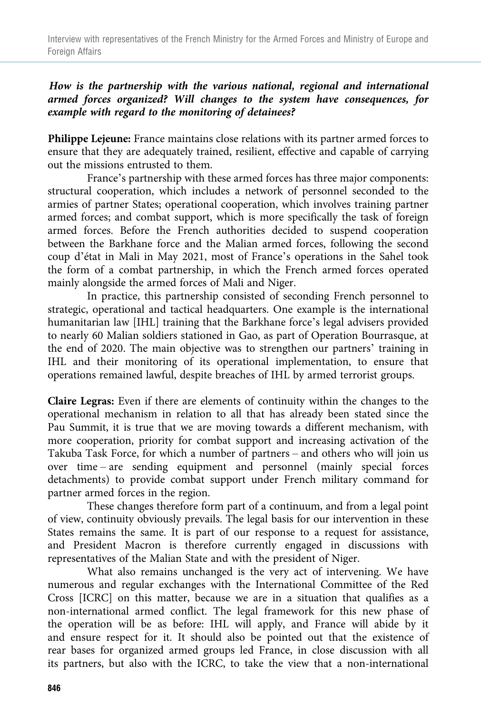### How is the partnership with the various national, regional and international armed forces organized? Will changes to the system have consequences, for example with regard to the monitoring of detainees?

Philippe Lejeune: France maintains close relations with its partner armed forces to ensure that they are adequately trained, resilient, effective and capable of carrying out the missions entrusted to them.

France's partnership with these armed forces has three major components: structural cooperation, which includes a network of personnel seconded to the armies of partner States; operational cooperation, which involves training partner armed forces; and combat support, which is more specifically the task of foreign armed forces. Before the French authorities decided to suspend cooperation between the Barkhane force and the Malian armed forces, following the second coup d'état in Mali in May 2021, most of France's operations in the Sahel took the form of a combat partnership, in which the French armed forces operated mainly alongside the armed forces of Mali and Niger.

In practice, this partnership consisted of seconding French personnel to strategic, operational and tactical headquarters. One example is the international humanitarian law [IHL] training that the Barkhane force's legal advisers provided to nearly 60 Malian soldiers stationed in Gao, as part of Operation Bourrasque, at the end of 2020. The main objective was to strengthen our partners' training in IHL and their monitoring of its operational implementation, to ensure that operations remained lawful, despite breaches of IHL by armed terrorist groups.

Claire Legras: Even if there are elements of continuity within the changes to the operational mechanism in relation to all that has already been stated since the Pau Summit, it is true that we are moving towards a different mechanism, with more cooperation, priority for combat support and increasing activation of the Takuba Task Force, for which a number of partners – and others who will join us over time – are sending equipment and personnel (mainly special forces detachments) to provide combat support under French military command for partner armed forces in the region.

These changes therefore form part of a continuum, and from a legal point of view, continuity obviously prevails. The legal basis for our intervention in these States remains the same. It is part of our response to a request for assistance, and President Macron is therefore currently engaged in discussions with representatives of the Malian State and with the president of Niger.

What also remains unchanged is the very act of intervening. We have numerous and regular exchanges with the International Committee of the Red Cross [ICRC] on this matter, because we are in a situation that qualifies as a non-international armed conflict. The legal framework for this new phase of the operation will be as before: IHL will apply, and France will abide by it and ensure respect for it. It should also be pointed out that the existence of rear bases for organized armed groups led France, in close discussion with all its partners, but also with the ICRC, to take the view that a non-international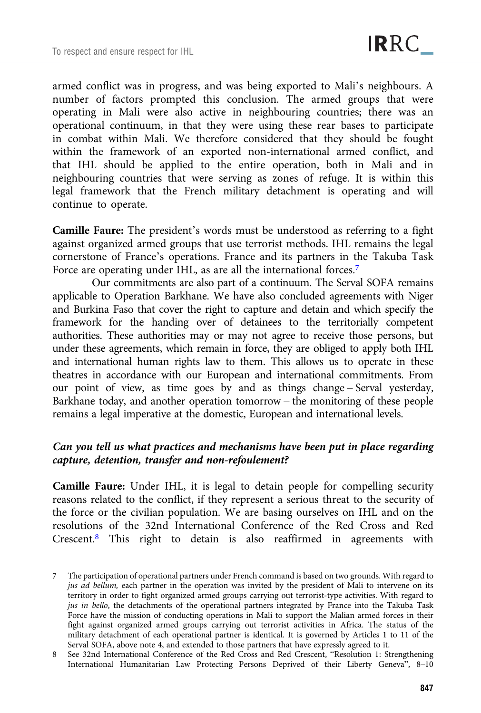armed conflict was in progress, and was being exported to Mali's neighbours. A number of factors prompted this conclusion. The armed groups that were operating in Mali were also active in neighbouring countries; there was an operational continuum, in that they were using these rear bases to participate in combat within Mali. We therefore considered that they should be fought within the framework of an exported non-international armed conflict, and that IHL should be applied to the entire operation, both in Mali and in neighbouring countries that were serving as zones of refuge. It is within this legal framework that the French military detachment is operating and will continue to operate.

Camille Faure: The president's words must be understood as referring to a fight against organized armed groups that use terrorist methods. IHL remains the legal cornerstone of France's operations. France and its partners in the Takuba Task Force are operating under IHL, as are all the international forces.<sup>7</sup>

Our commitments are also part of a continuum. The Serval SOFA remains applicable to Operation Barkhane. We have also concluded agreements with Niger and Burkina Faso that cover the right to capture and detain and which specify the framework for the handing over of detainees to the territorially competent authorities. These authorities may or may not agree to receive those persons, but under these agreements, which remain in force, they are obliged to apply both IHL and international human rights law to them. This allows us to operate in these theatres in accordance with our European and international commitments. From our point of view, as time goes by and as things change – Serval yesterday, Barkhane today, and another operation tomorrow – the monitoring of these people remains a legal imperative at the domestic, European and international levels.

## Can you tell us what practices and mechanisms have been put in place regarding capture, detention, transfer and non-refoulement?

Camille Faure: Under IHL, it is legal to detain people for compelling security reasons related to the conflict, if they represent a serious threat to the security of the force or the civilian population. We are basing ourselves on IHL and on the resolutions of the 32nd International Conference of the Red Cross and Red Crescent.8 This right to detain is also reaffirmed in agreements with

<sup>7</sup> The participation of operational partners under French command is based on two grounds. With regard to jus ad bellum, each partner in the operation was invited by the president of Mali to intervene on its territory in order to fight organized armed groups carrying out terrorist-type activities. With regard to jus in bello, the detachments of the operational partners integrated by France into the Takuba Task Force have the mission of conducting operations in Mali to support the Malian armed forces in their fight against organized armed groups carrying out terrorist activities in Africa. The status of the military detachment of each operational partner is identical. It is governed by Articles 1 to 11 of the Serval SOFA, above note 4, and extended to those partners that have expressly agreed to it.

<sup>8</sup> See 32nd International Conference of the Red Cross and Red Crescent, "Resolution 1: Strengthening International Humanitarian Law Protecting Persons Deprived of their Liberty Geneva", 8–10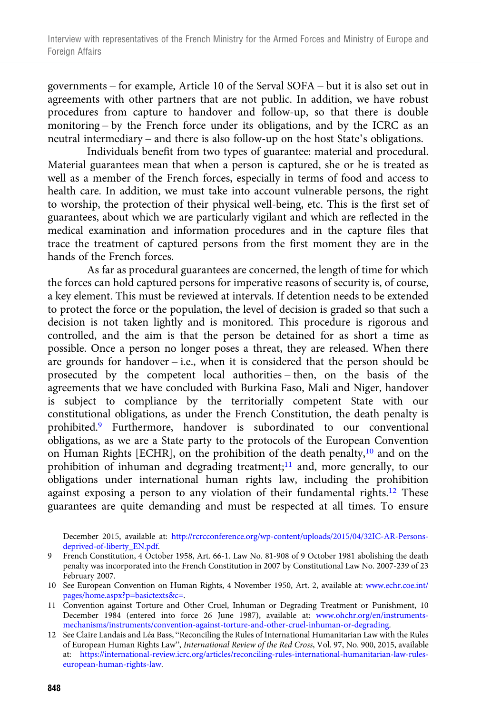governments – for example, Article 10 of the Serval SOFA – but it is also set out in agreements with other partners that are not public. In addition, we have robust procedures from capture to handover and follow-up, so that there is double monitoring – by the French force under its obligations, and by the ICRC as an neutral intermediary – and there is also follow-up on the host State's obligations.

Individuals benefit from two types of guarantee: material and procedural. Material guarantees mean that when a person is captured, she or he is treated as well as a member of the French forces, especially in terms of food and access to health care. In addition, we must take into account vulnerable persons, the right to worship, the protection of their physical well-being, etc. This is the first set of guarantees, about which we are particularly vigilant and which are reflected in the medical examination and information procedures and in the capture files that trace the treatment of captured persons from the first moment they are in the hands of the French forces.

As far as procedural guarantees are concerned, the length of time for which the forces can hold captured persons for imperative reasons of security is, of course, a key element. This must be reviewed at intervals. If detention needs to be extended to protect the force or the population, the level of decision is graded so that such a decision is not taken lightly and is monitored. This procedure is rigorous and controlled, and the aim is that the person be detained for as short a time as possible. Once a person no longer poses a threat, they are released. When there are grounds for handover  $-$  i.e., when it is considered that the person should be prosecuted by the competent local authorities – then, on the basis of the agreements that we have concluded with Burkina Faso, Mali and Niger, handover is subject to compliance by the territorially competent State with our constitutional obligations, as under the French Constitution, the death penalty is prohibited.<sup>9</sup> Furthermore, handover is subordinated to our conventional obligations, as we are a State party to the protocols of the European Convention on Human Rights [ECHR], on the prohibition of the death penalty,<sup>10</sup> and on the prohibition of inhuman and degrading treatment;<sup>11</sup> and, more generally, to our obligations under international human rights law, including the prohibition against exposing a person to any violation of their fundamental rights.<sup>12</sup> These guarantees are quite demanding and must be respected at all times. To ensure

December 2015, available at: [http://rcrcconference.org/wp-content/uploads/2015/04/32IC-AR-Persons](http://rcrcconference.org/wp-content/uploads/2015/04/32IC-AR-Persons-deprived-of-liberty_EN.pdf)[deprived-of-liberty\\_EN.pdf](http://rcrcconference.org/wp-content/uploads/2015/04/32IC-AR-Persons-deprived-of-liberty_EN.pdf).

- 9 French Constitution, 4 October 1958, Art. 66-1. Law No. 81-908 of 9 October 1981 abolishing the death penalty was incorporated into the French Constitution in 2007 by Constitutional Law No. 2007-239 of 23 February 2007.
- 10 See European Convention on Human Rights, 4 November 1950, Art. 2, available at: [www.echr.coe.int/](https://www.echr.coe.int/pages/home.aspx?p=basictexts&c=) [pages/home.aspx?p=basictexts&c=](https://www.echr.coe.int/pages/home.aspx?p=basictexts&c=).
- 11 Convention against Torture and Other Cruel, Inhuman or Degrading Treatment or Punishment, 10 December 1984 (entered into force 26 June 1987), available at: [www.ohchr.org/en/instruments](https://www.ohchr.org/en/instruments-mechanisms/instruments/convention-against-torture-and-other-cruel-inhuman-or-degrading)[mechanisms/instruments/convention-against-torture-and-other-cruel-inhuman-or-degrading](https://www.ohchr.org/en/instruments-mechanisms/instruments/convention-against-torture-and-other-cruel-inhuman-or-degrading).
- 12 See Claire Landais and Léa Bass, "Reconciling the Rules of International Humanitarian Law with the Rules of European Human Rights Law", International Review of the Red Cross, Vol. 97, No. 900, 2015, available at: [https://international-review.icrc.org/articles/reconciling-rules-international-humanitarian-law-rules](https://international-review.icrc.org/articles/reconciling-rules-international-humanitarian-law-rules-european-human-rights-law)[european-human-rights-law](https://international-review.icrc.org/articles/reconciling-rules-international-humanitarian-law-rules-european-human-rights-law).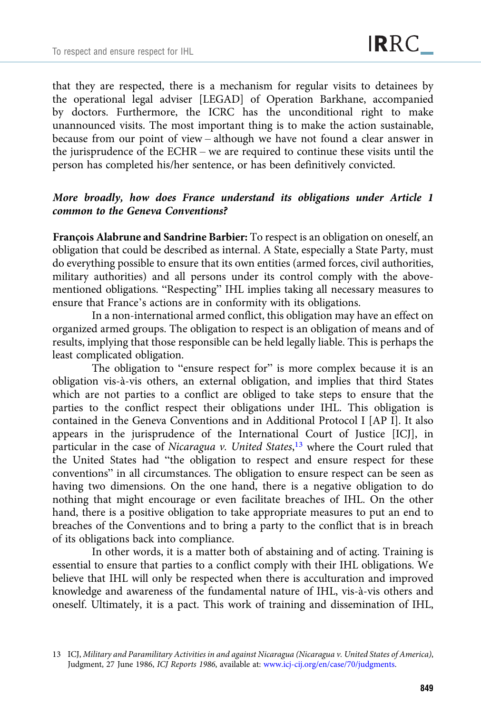that they are respected, there is a mechanism for regular visits to detainees by the operational legal adviser [LEGAD] of Operation Barkhane, accompanied by doctors. Furthermore, the ICRC has the unconditional right to make unannounced visits. The most important thing is to make the action sustainable, because from our point of view – although we have not found a clear answer in the jurisprudence of the ECHR – we are required to continue these visits until the person has completed his/her sentence, or has been definitively convicted.

## More broadly, how does France understand its obligations under Article 1 common to the Geneva Conventions?

François Alabrune and Sandrine Barbier: To respect is an obligation on oneself, an obligation that could be described as internal. A State, especially a State Party, must do everything possible to ensure that its own entities (armed forces, civil authorities, military authorities) and all persons under its control comply with the abovementioned obligations. "Respecting" IHL implies taking all necessary measures to ensure that France's actions are in conformity with its obligations.

In a non-international armed conflict, this obligation may have an effect on organized armed groups. The obligation to respect is an obligation of means and of results, implying that those responsible can be held legally liable. This is perhaps the least complicated obligation.

The obligation to "ensure respect for" is more complex because it is an obligation vis-à-vis others, an external obligation, and implies that third States which are not parties to a conflict are obliged to take steps to ensure that the parties to the conflict respect their obligations under IHL. This obligation is contained in the Geneva Conventions and in Additional Protocol I [AP I]. It also appears in the jurisprudence of the International Court of Justice [ICJ], in particular in the case of Nicaragua v. United States,<sup>13</sup> where the Court ruled that the United States had "the obligation to respect and ensure respect for these conventions" in all circumstances. The obligation to ensure respect can be seen as having two dimensions. On the one hand, there is a negative obligation to do nothing that might encourage or even facilitate breaches of IHL. On the other hand, there is a positive obligation to take appropriate measures to put an end to breaches of the Conventions and to bring a party to the conflict that is in breach of its obligations back into compliance.

In other words, it is a matter both of abstaining and of acting. Training is essential to ensure that parties to a conflict comply with their IHL obligations. We believe that IHL will only be respected when there is acculturation and improved knowledge and awareness of the fundamental nature of IHL, vis-à-vis others and oneself. Ultimately, it is a pact. This work of training and dissemination of IHL,

<sup>13</sup> ICJ, Military and Paramilitary Activities in and against Nicaragua (Nicaragua v. United States of America), Judgment, 27 June 1986, ICJ Reports 1986, available at: [www.icj-cij.org/en/case/70/judgments.](https://www.icj-cij.org/en/case/70/judgments)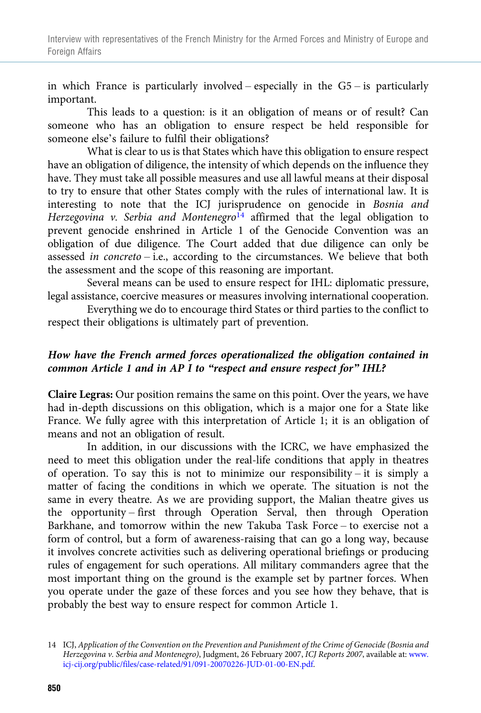in which France is particularly involved – especially in the  $G5 -$  is particularly important.

This leads to a question: is it an obligation of means or of result? Can someone who has an obligation to ensure respect be held responsible for someone else's failure to fulfil their obligations?

What is clear to us is that States which have this obligation to ensure respect have an obligation of diligence, the intensity of which depends on the influence they have. They must take all possible measures and use all lawful means at their disposal to try to ensure that other States comply with the rules of international law. It is interesting to note that the ICJ jurisprudence on genocide in Bosnia and Herzegovina v. Serbia and Montenegro<sup>14</sup> affirmed that the legal obligation to prevent genocide enshrined in Article 1 of the Genocide Convention was an obligation of due diligence. The Court added that due diligence can only be assessed in concreto – i.e., according to the circumstances. We believe that both the assessment and the scope of this reasoning are important.

Several means can be used to ensure respect for IHL: diplomatic pressure, legal assistance, coercive measures or measures involving international cooperation.

Everything we do to encourage third States or third parties to the conflict to respect their obligations is ultimately part of prevention.

## How have the French armed forces operationalized the obligation contained in common Article 1 and in AP I to "respect and ensure respect for" IHL?

Claire Legras: Our position remains the same on this point. Over the years, we have had in-depth discussions on this obligation, which is a major one for a State like France. We fully agree with this interpretation of Article 1; it is an obligation of means and not an obligation of result.

In addition, in our discussions with the ICRC, we have emphasized the need to meet this obligation under the real-life conditions that apply in theatres of operation. To say this is not to minimize our responsibility – it is simply a matter of facing the conditions in which we operate. The situation is not the same in every theatre. As we are providing support, the Malian theatre gives us the opportunity – first through Operation Serval, then through Operation Barkhane, and tomorrow within the new Takuba Task Force – to exercise not a form of control, but a form of awareness-raising that can go a long way, because it involves concrete activities such as delivering operational briefings or producing rules of engagement for such operations. All military commanders agree that the most important thing on the ground is the example set by partner forces. When you operate under the gaze of these forces and you see how they behave, that is probably the best way to ensure respect for common Article 1.

<sup>14</sup> ICJ, Application of the Convention on the Prevention and Punishment of the Crime of Genocide (Bosnia and Herzegovina v. Serbia and Montenegro), Judgment, 26 February 2007, ICJ Reports 2007, available at: [www.](https://www.icj-cij.org/public/files/case-related/91/091-20070226-JUD-01-00-EN.pdf) [icj-cij.org/public/files/case-related/91/091-20070226-JUD-01-00-EN.pdf](https://www.icj-cij.org/public/files/case-related/91/091-20070226-JUD-01-00-EN.pdf).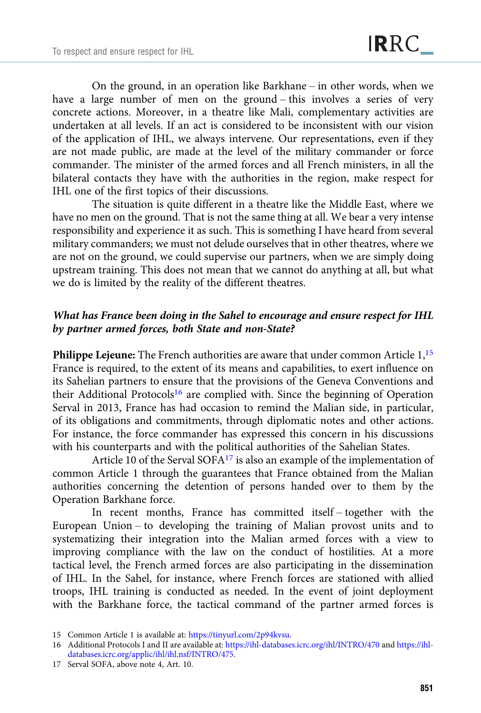On the ground, in an operation like Barkhane – in other words, when we have a large number of men on the ground – this involves a series of very concrete actions. Moreover, in a theatre like Mali, complementary activities are undertaken at all levels. If an act is considered to be inconsistent with our vision of the application of IHL, we always intervene. Our representations, even if they are not made public, are made at the level of the military commander or force commander. The minister of the armed forces and all French ministers, in all the bilateral contacts they have with the authorities in the region, make respect for IHL one of the first topics of their discussions.

The situation is quite different in a theatre like the Middle East, where we have no men on the ground. That is not the same thing at all. We bear a very intense responsibility and experience it as such. This is something I have heard from several military commanders; we must not delude ourselves that in other theatres, where we are not on the ground, we could supervise our partners, when we are simply doing upstream training. This does not mean that we cannot do anything at all, but what we do is limited by the reality of the different theatres.

### What has France been doing in the Sahel to encourage and ensure respect for IHL by partner armed forces, both State and non-State?

Philippe Lejeune: The French authorities are aware that under common Article 1,<sup>15</sup> France is required, to the extent of its means and capabilities, to exert influence on its Sahelian partners to ensure that the provisions of the Geneva Conventions and their Additional Protocols<sup>16</sup> are complied with. Since the beginning of Operation Serval in 2013, France has had occasion to remind the Malian side, in particular, of its obligations and commitments, through diplomatic notes and other actions. For instance, the force commander has expressed this concern in his discussions with his counterparts and with the political authorities of the Sahelian States.

Article 10 of the Serval SOFA17 is also an example of the implementation of common Article 1 through the guarantees that France obtained from the Malian authorities concerning the detention of persons handed over to them by the Operation Barkhane force.

In recent months, France has committed itself – together with the European Union – to developing the training of Malian provost units and to systematizing their integration into the Malian armed forces with a view to improving compliance with the law on the conduct of hostilities. At a more tactical level, the French armed forces are also participating in the dissemination of IHL. In the Sahel, for instance, where French forces are stationed with allied troops, IHL training is conducted as needed. In the event of joint deployment with the Barkhane force, the tactical command of the partner armed forces is

<sup>15</sup> Common Article 1 is available at: <https://tinyurl.com/2p94kvsu>.

<sup>16</sup> Additional Protocols I and II are available at: <https://ihl-databases.icrc.org/ihl/INTRO/470> and [https://ihl](https://ihl-databases.icrc.org/applic/ihl/ihl.nsf/INTRO/475)[databases.icrc.org/applic/ihl/ihl.nsf/INTRO/475](https://ihl-databases.icrc.org/applic/ihl/ihl.nsf/INTRO/475).

<sup>17</sup> Serval SOFA, above note 4, Art. 10.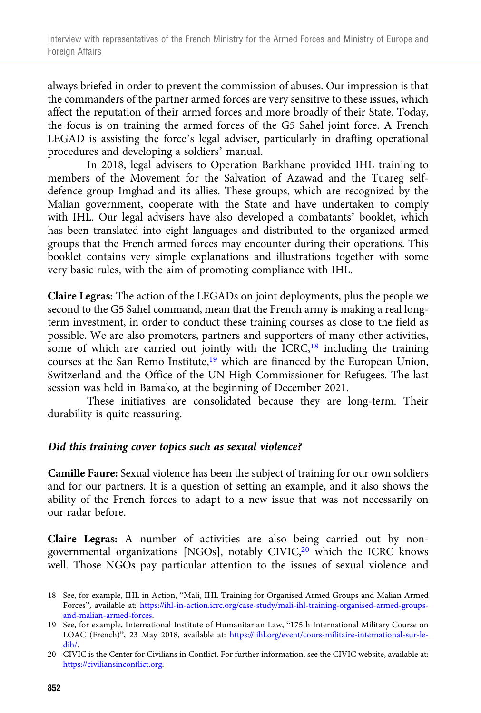always briefed in order to prevent the commission of abuses. Our impression is that the commanders of the partner armed forces are very sensitive to these issues, which affect the reputation of their armed forces and more broadly of their State. Today, the focus is on training the armed forces of the G5 Sahel joint force. A French LEGAD is assisting the force's legal adviser, particularly in drafting operational procedures and developing a soldiers' manual.

In 2018, legal advisers to Operation Barkhane provided IHL training to members of the Movement for the Salvation of Azawad and the Tuareg selfdefence group Imghad and its allies. These groups, which are recognized by the Malian government, cooperate with the State and have undertaken to comply with IHL. Our legal advisers have also developed a combatants' booklet, which has been translated into eight languages and distributed to the organized armed groups that the French armed forces may encounter during their operations. This booklet contains very simple explanations and illustrations together with some very basic rules, with the aim of promoting compliance with IHL.

Claire Legras: The action of the LEGADs on joint deployments, plus the people we second to the G5 Sahel command, mean that the French army is making a real longterm investment, in order to conduct these training courses as close to the field as possible. We are also promoters, partners and supporters of many other activities, some of which are carried out jointly with the  $ICRC<sup>18</sup>$  including the training courses at the San Remo Institute,<sup>19</sup> which are financed by the European Union, Switzerland and the Office of the UN High Commissioner for Refugees. The last session was held in Bamako, at the beginning of December 2021.

These initiatives are consolidated because they are long-term. Their durability is quite reassuring.

#### Did this training cover topics such as sexual violence?

Camille Faure: Sexual violence has been the subject of training for our own soldiers and for our partners. It is a question of setting an example, and it also shows the ability of the French forces to adapt to a new issue that was not necessarily on our radar before.

Claire Legras: A number of activities are also being carried out by nongovernmental organizations [NGOs], notably CIVIC,<sup>20</sup> which the ICRC knows well. Those NGOs pay particular attention to the issues of sexual violence and

<sup>18</sup> See, for example, IHL in Action, "Mali, IHL Training for Organised Armed Groups and Malian Armed Forces", available at: [https://ihl-in-action.icrc.org/case-study/mali-ihl-training-organised-armed-groups](https://ihl-in-action.icrc.org/case-study/mali-ihl-training-organised-armed-groups-and-malian-armed-forces)[and-malian-armed-forces.](https://ihl-in-action.icrc.org/case-study/mali-ihl-training-organised-armed-groups-and-malian-armed-forces)

<sup>19</sup> See, for example, International Institute of Humanitarian Law, "175th International Military Course on LOAC (French)", 23 May 2018, available at: [https://iihl.org/event/cours-militaire-international-sur-le](https://iihl.org/event/cours-militaire-international-sur-le-dih/)[dih/.](https://iihl.org/event/cours-militaire-international-sur-le-dih/)

<sup>20</sup> CIVIC is the Center for Civilians in Conflict. For further information, see the CIVIC website, available at: <https://civiliansinconflict.org>.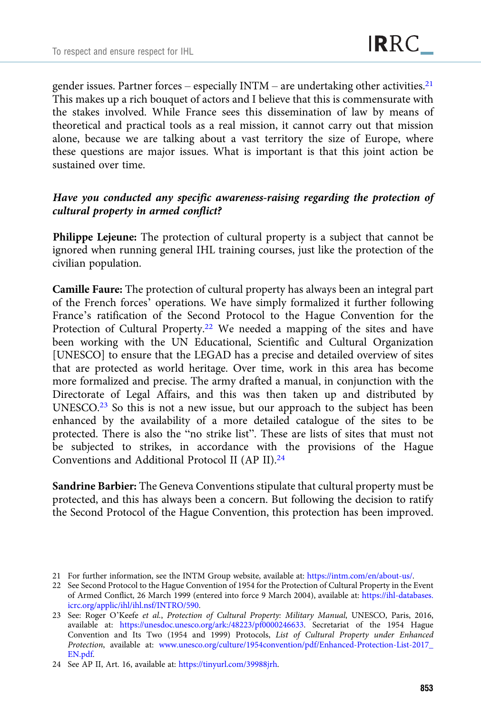gender issues. Partner forces – especially  $INTM -$  are undertaking other activities.<sup>21</sup> This makes up a rich bouquet of actors and I believe that this is commensurate with the stakes involved. While France sees this dissemination of law by means of theoretical and practical tools as a real mission, it cannot carry out that mission alone, because we are talking about a vast territory the size of Europe, where these questions are major issues. What is important is that this joint action be sustained over time.

#### Have you conducted any specific awareness-raising regarding the protection of cultural property in armed conflict?

Philippe Lejeune: The protection of cultural property is a subject that cannot be ignored when running general IHL training courses, just like the protection of the civilian population.

Camille Faure: The protection of cultural property has always been an integral part of the French forces' operations. We have simply formalized it further following France's ratification of the Second Protocol to the Hague Convention for the Protection of Cultural Property.<sup>22</sup> We needed a mapping of the sites and have been working with the UN Educational, Scientific and Cultural Organization [UNESCO] to ensure that the LEGAD has a precise and detailed overview of sites that are protected as world heritage. Over time, work in this area has become more formalized and precise. The army drafted a manual, in conjunction with the Directorate of Legal Affairs, and this was then taken up and distributed by UNESCO.<sup>23</sup> So this is not a new issue, but our approach to the subject has been enhanced by the availability of a more detailed catalogue of the sites to be protected. There is also the "no strike list". These are lists of sites that must not be subjected to strikes, in accordance with the provisions of the Hague Conventions and Additional Protocol II (AP II).24

Sandrine Barbier: The Geneva Conventions stipulate that cultural property must be protected, and this has always been a concern. But following the decision to ratify the Second Protocol of the Hague Convention, this protection has been improved.

<sup>21</sup> For further information, see the INTM Group website, available at: [https://intm.com/en/about-us/.](https://intm.com/en/about-us/)

<sup>22</sup> See Second Protocol to the Hague Convention of 1954 for the Protection of Cultural Property in the Event of Armed Conflict, 26 March 1999 (entered into force 9 March 2004), available at: [https://ihl-databases.](https://ihl-databases.icrc.org/applic/ihl/ihl.nsf/INTRO/590) [icrc.org/applic/ihl/ihl.nsf/INTRO/590.](https://ihl-databases.icrc.org/applic/ihl/ihl.nsf/INTRO/590)

<sup>23</sup> See: Roger O'Keefe et al., Protection of Cultural Property: Military Manual, UNESCO, Paris, 2016, available at: <https://unesdoc.unesco.org/ark:/48223/pf0000246633>. Secretariat of the 1954 Hague Convention and Its Two (1954 and 1999) Protocols, List of Cultural Property under Enhanced Protection, available at: [www.unesco.org/culture/1954convention/pdf/Enhanced-Protection-List-2017\\_](http://www.unesco.org/culture/1954convention/pdf/Enhanced-Protection-List-2017_EN.pdf) [EN.pdf.](http://www.unesco.org/culture/1954convention/pdf/Enhanced-Protection-List-2017_EN.pdf)

<sup>24</sup> See AP II, Art. 16, available at: <https://tinyurl.com/39988jrh>.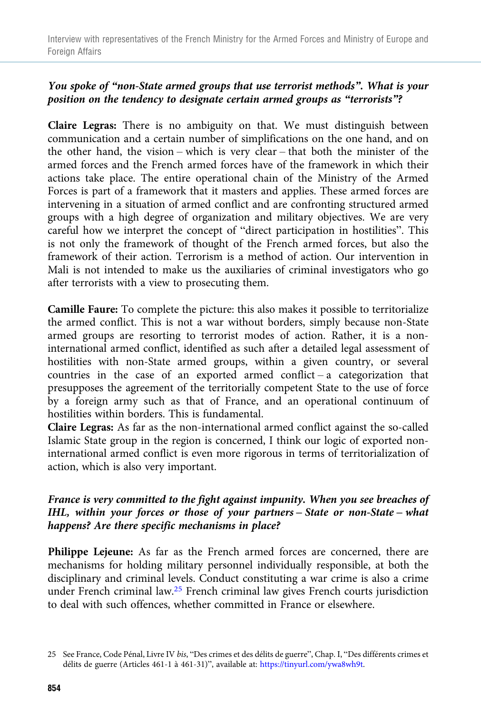# You spoke of "non-State armed groups that use terrorist methods". What is your position on the tendency to designate certain armed groups as "terrorists"?

Claire Legras: There is no ambiguity on that. We must distinguish between communication and a certain number of simplifications on the one hand, and on the other hand, the vision – which is very clear – that both the minister of the armed forces and the French armed forces have of the framework in which their actions take place. The entire operational chain of the Ministry of the Armed Forces is part of a framework that it masters and applies. These armed forces are intervening in a situation of armed conflict and are confronting structured armed groups with a high degree of organization and military objectives. We are very careful how we interpret the concept of "direct participation in hostilities". This is not only the framework of thought of the French armed forces, but also the framework of their action. Terrorism is a method of action. Our intervention in Mali is not intended to make us the auxiliaries of criminal investigators who go after terrorists with a view to prosecuting them.

Camille Faure: To complete the picture: this also makes it possible to territorialize the armed conflict. This is not a war without borders, simply because non-State armed groups are resorting to terrorist modes of action. Rather, it is a noninternational armed conflict, identified as such after a detailed legal assessment of hostilities with non-State armed groups, within a given country, or several countries in the case of an exported armed conflict – a categorization that presupposes the agreement of the territorially competent State to the use of force by a foreign army such as that of France, and an operational continuum of hostilities within borders. This is fundamental.

Claire Legras: As far as the non-international armed conflict against the so-called Islamic State group in the region is concerned, I think our logic of exported noninternational armed conflict is even more rigorous in terms of territorialization of action, which is also very important.

## France is very committed to the fight against impunity. When you see breaches of IHL, within your forces or those of your partners – State or non-State – what happens? Are there specific mechanisms in place?

Philippe Lejeune: As far as the French armed forces are concerned, there are mechanisms for holding military personnel individually responsible, at both the disciplinary and criminal levels. Conduct constituting a war crime is also a crime under French criminal law.25 French criminal law gives French courts jurisdiction to deal with such offences, whether committed in France or elsewhere.

<sup>25</sup> See France, Code Pénal, Livre IV bis, "Des crimes et des délits de guerre", Chap. I, "Des différents crimes et délits de guerre (Articles 461-1 à 461-31)", available at: [https://tinyurl.com/ywa8wh9t.](https://tinyurl.com/ywa8wh9t)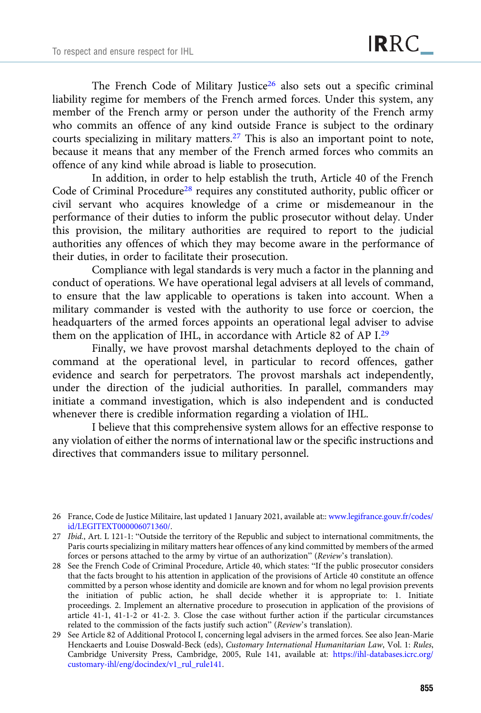The French Code of Military Justice<sup>26</sup> also sets out a specific criminal liability regime for members of the French armed forces. Under this system, any member of the French army or person under the authority of the French army who commits an offence of any kind outside France is subject to the ordinary courts specializing in military matters.27 This is also an important point to note, because it means that any member of the French armed forces who commits an offence of any kind while abroad is liable to prosecution.

In addition, in order to help establish the truth, Article 40 of the French Code of Criminal Procedure<sup>28</sup> requires any constituted authority, public officer or civil servant who acquires knowledge of a crime or misdemeanour in the performance of their duties to inform the public prosecutor without delay. Under this provision, the military authorities are required to report to the judicial authorities any offences of which they may become aware in the performance of their duties, in order to facilitate their prosecution.

Compliance with legal standards is very much a factor in the planning and conduct of operations. We have operational legal advisers at all levels of command, to ensure that the law applicable to operations is taken into account. When a military commander is vested with the authority to use force or coercion, the headquarters of the armed forces appoints an operational legal adviser to advise them on the application of IHL, in accordance with Article 82 of AP I.29

Finally, we have provost marshal detachments deployed to the chain of command at the operational level, in particular to record offences, gather evidence and search for perpetrators. The provost marshals act independently, under the direction of the judicial authorities. In parallel, commanders may initiate a command investigation, which is also independent and is conducted whenever there is credible information regarding a violation of IHL.

I believe that this comprehensive system allows for an effective response to any violation of either the norms of international law or the specific instructions and directives that commanders issue to military personnel.

<sup>26</sup> France, Code de Justice Militaire, last updated 1 January 2021, available at:: [www.legifrance.gouv.fr/codes/](https://www.legifrance.gouv.fr/codes/id/LEGITEXT000006071360/) [id/LEGITEXT000006071360/.](https://www.legifrance.gouv.fr/codes/id/LEGITEXT000006071360/)

<sup>27</sup> Ibid., Art. L 121-1: "Outside the territory of the Republic and subject to international commitments, the Paris courts specializing in military matters hear offences of any kind committed by members of the armed forces or persons attached to the army by virtue of an authorization" (Review's translation).

<sup>28</sup> See the French Code of Criminal Procedure, Article 40, which states: "If the public prosecutor considers that the facts brought to his attention in application of the provisions of Article 40 constitute an offence committed by a person whose identity and domicile are known and for whom no legal provision prevents the initiation of public action, he shall decide whether it is appropriate to: 1. Initiate proceedings. 2. Implement an alternative procedure to prosecution in application of the provisions of article 41-1, 41-1-2 or 41-2. 3. Close the case without further action if the particular circumstances related to the commission of the facts justify such action" (Review's translation).

<sup>29</sup> See Article 82 of Additional Protocol I, concerning legal advisers in the armed forces. See also Jean-Marie Henckaerts and Louise Doswald-Beck (eds), Customary International Humanitarian Law, Vol. 1: Rules, Cambridge University Press, Cambridge, 2005, Rule 141, available at: [https://ihl-databases.icrc.org/](https://ihl-databases.icrc.org/customary-ihl/eng/docindex/v1_rul_rule141) [customary-ihl/eng/docindex/v1\\_rul\\_rule141.](https://ihl-databases.icrc.org/customary-ihl/eng/docindex/v1_rul_rule141)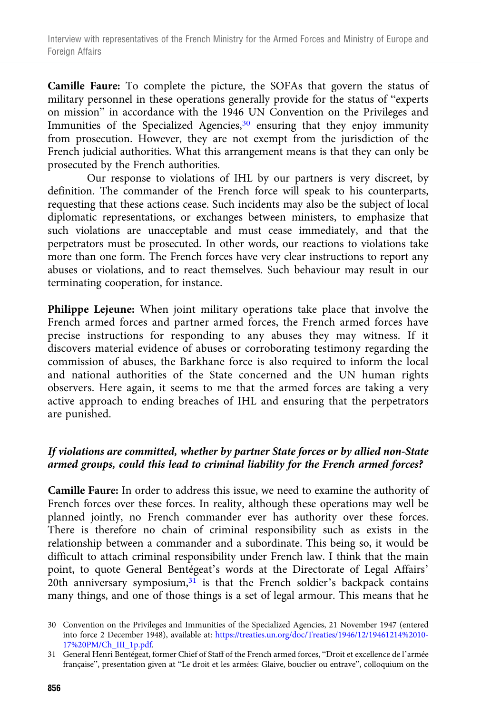Camille Faure: To complete the picture, the SOFAs that govern the status of military personnel in these operations generally provide for the status of "experts on mission" in accordance with the 1946 UN Convention on the Privileges and Immunities of the Specialized Agencies,<sup>30</sup> ensuring that they enjoy immunity from prosecution. However, they are not exempt from the jurisdiction of the French judicial authorities. What this arrangement means is that they can only be prosecuted by the French authorities.

Our response to violations of IHL by our partners is very discreet, by definition. The commander of the French force will speak to his counterparts, requesting that these actions cease. Such incidents may also be the subject of local diplomatic representations, or exchanges between ministers, to emphasize that such violations are unacceptable and must cease immediately, and that the perpetrators must be prosecuted. In other words, our reactions to violations take more than one form. The French forces have very clear instructions to report any abuses or violations, and to react themselves. Such behaviour may result in our terminating cooperation, for instance.

Philippe Lejeune: When joint military operations take place that involve the French armed forces and partner armed forces, the French armed forces have precise instructions for responding to any abuses they may witness. If it discovers material evidence of abuses or corroborating testimony regarding the commission of abuses, the Barkhane force is also required to inform the local and national authorities of the State concerned and the UN human rights observers. Here again, it seems to me that the armed forces are taking a very active approach to ending breaches of IHL and ensuring that the perpetrators are punished.

# If violations are committed, whether by partner State forces or by allied non-State armed groups, could this lead to criminal liability for the French armed forces?

Camille Faure: In order to address this issue, we need to examine the authority of French forces over these forces. In reality, although these operations may well be planned jointly, no French commander ever has authority over these forces. There is therefore no chain of criminal responsibility such as exists in the relationship between a commander and a subordinate. This being so, it would be difficult to attach criminal responsibility under French law. I think that the main point, to quote General Bentégeat's words at the Directorate of Legal Affairs' 20th anniversary symposium, $31$  is that the French soldier's backpack contains many things, and one of those things is a set of legal armour. This means that he

<sup>30</sup> Convention on the Privileges and Immunities of the Specialized Agencies, 21 November 1947 (entered into force 2 December 1948), available at: [https://treaties.un.org/doc/Treaties/1946/12/19461214%2010-](https://treaties.un.org/doc/Treaties/1946/12/19461214%2010-17%20PM/Ch_III_1p.pdf) [17%20PM/Ch\\_III\\_1p.pdf.](https://treaties.un.org/doc/Treaties/1946/12/19461214%2010-17%20PM/Ch_III_1p.pdf)

<sup>31</sup> General Henri Bentégeat, former Chief of Staff of the French armed forces, "Droit et excellence de l'armée française", presentation given at "Le droit et les armées: Glaive, bouclier ou entrave", colloquium on the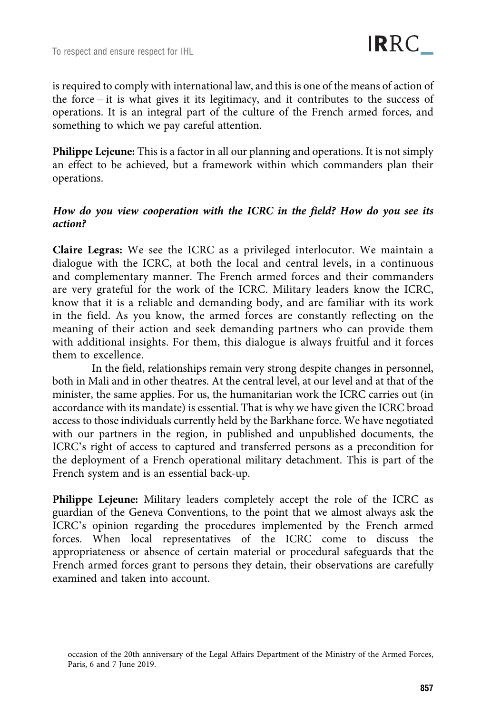is required to comply with international law, and this is one of the means of action of the force – it is what gives it its legitimacy, and it contributes to the success of operations. It is an integral part of the culture of the French armed forces, and something to which we pay careful attention.

Philippe Lejeune: This is a factor in all our planning and operations. It is not simply an effect to be achieved, but a framework within which commanders plan their operations.

## How do you view cooperation with the ICRC in the field? How do you see its action?

Claire Legras: We see the ICRC as a privileged interlocutor. We maintain a dialogue with the ICRC, at both the local and central levels, in a continuous and complementary manner. The French armed forces and their commanders are very grateful for the work of the ICRC. Military leaders know the ICRC, know that it is a reliable and demanding body, and are familiar with its work in the field. As you know, the armed forces are constantly reflecting on the meaning of their action and seek demanding partners who can provide them with additional insights. For them, this dialogue is always fruitful and it forces them to excellence.

In the field, relationships remain very strong despite changes in personnel, both in Mali and in other theatres. At the central level, at our level and at that of the minister, the same applies. For us, the humanitarian work the ICRC carries out (in accordance with its mandate) is essential. That is why we have given the ICRC broad access to those individuals currently held by the Barkhane force. We have negotiated with our partners in the region, in published and unpublished documents, the ICRC's right of access to captured and transferred persons as a precondition for the deployment of a French operational military detachment. This is part of the French system and is an essential back-up.

Philippe Lejeune: Military leaders completely accept the role of the ICRC as guardian of the Geneva Conventions, to the point that we almost always ask the ICRC's opinion regarding the procedures implemented by the French armed forces. When local representatives of the ICRC come to discuss the appropriateness or absence of certain material or procedural safeguards that the French armed forces grant to persons they detain, their observations are carefully examined and taken into account.